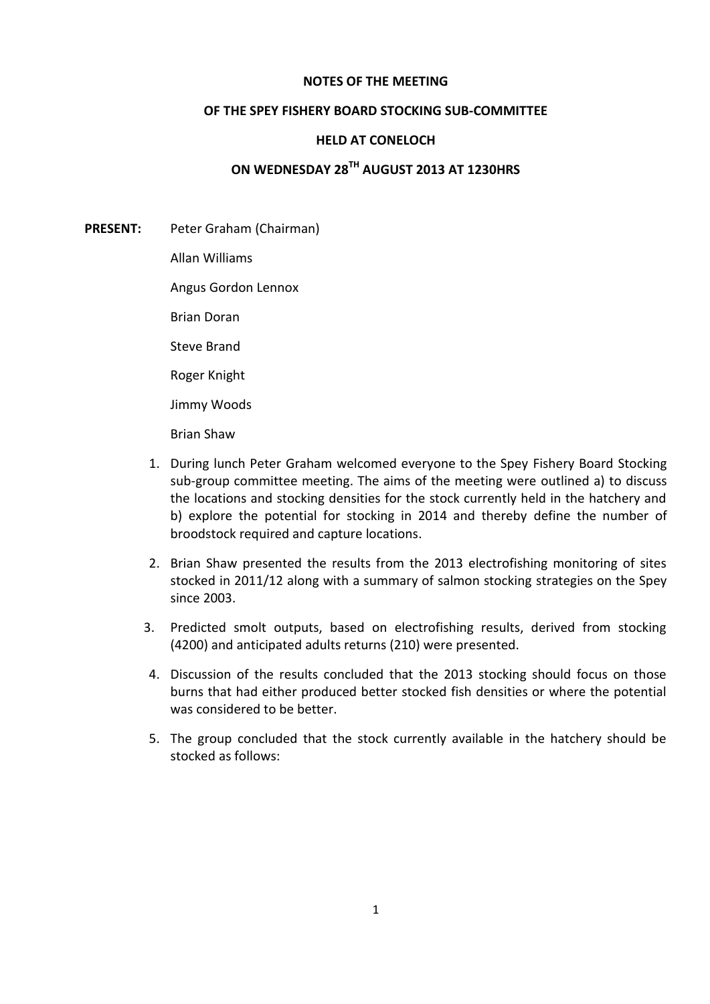## **NOTES OF THE MEETING**

## **OF THE SPEY FISHERY BOARD STOCKING SUB-COMMITTEE**

## **HELD AT CONELOCH**

## **ON WEDNESDAY 28TH AUGUST 2013 AT 1230HRS**

- **PRESENT:** Peter Graham (Chairman)
	- Allan Williams
	- Angus Gordon Lennox
	- Brian Doran
	- Steve Brand
	- Roger Knight
	- Jimmy Woods
	- Brian Shaw
	- 1. During lunch Peter Graham welcomed everyone to the Spey Fishery Board Stocking sub-group committee meeting. The aims of the meeting were outlined a) to discuss the locations and stocking densities for the stock currently held in the hatchery and b) explore the potential for stocking in 2014 and thereby define the number of broodstock required and capture locations.
	- 2. Brian Shaw presented the results from the 2013 electrofishing monitoring of sites stocked in 2011/12 along with a summary of salmon stocking strategies on the Spey since 2003.
	- 3. Predicted smolt outputs, based on electrofishing results, derived from stocking (4200) and anticipated adults returns (210) were presented.
	- 4. Discussion of the results concluded that the 2013 stocking should focus on those burns that had either produced better stocked fish densities or where the potential was considered to be better.
	- 5. The group concluded that the stock currently available in the hatchery should be stocked as follows: